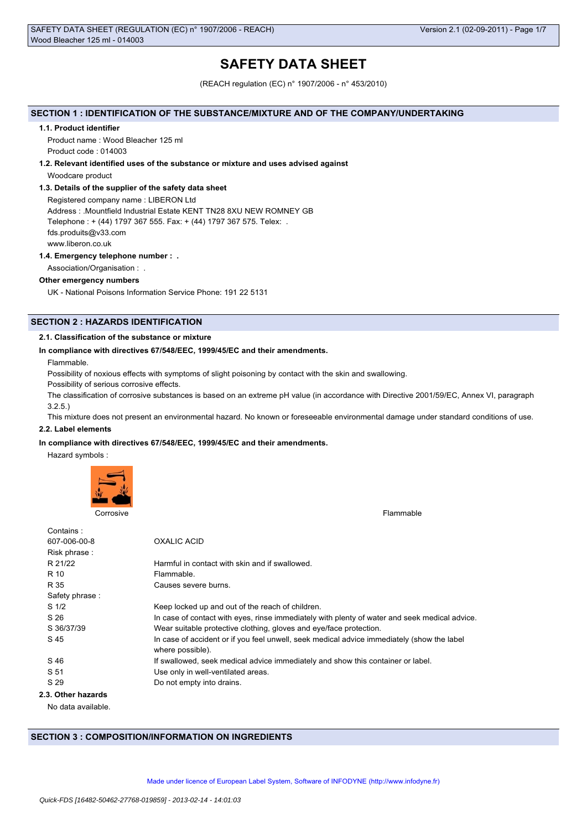# **SAFETY DATA SHEET**

(REACH regulation (EC) n° 1907/2006 - n° 453/2010)

# **SECTION 1 : IDENTIFICATION OF THE SUBSTANCE/MIXTURE AND OF THE COMPANY/UNDERTAKING**

#### **1.1. Product identifier**

Product name : Wood Bleacher 125 ml Product code : 014003

#### **1.2. Relevant identified uses of the substance or mixture and uses advised against**

Woodcare product

# **1.3. Details of the supplier of the safety data sheet**

Registered company name : LIBERON Ltd Address : .Mountfield Industrial Estate KENT TN28 8XU NEW ROMNEY GB Telephone : + (44) 1797 367 555. Fax: + (44) 1797 367 575. Telex: . fds.produits@v33.com www.liberon.co.uk

# **1.4. Emergency telephone number : .**

Association/Organisation : .

# **Other emergency numbers**

UK - National Poisons Information Service Phone: 191 22 5131

# **SECTION 2 : HAZARDS IDENTIFICATION**

# **2.1. Classification of the substance or mixture**

# **In compliance with directives 67/548/EEC, 1999/45/EC and their amendments.**

Flammable.

Possibility of noxious effects with symptoms of slight poisoning by contact with the skin and swallowing.

Possibility of serious corrosive effects.

The classification of corrosive substances is based on an extreme pH value (in accordance with Directive 2001/59/EC, Annex VI, paragraph 3.2.5.)

This mixture does not present an environmental hazard. No known or foreseeable environmental damage under standard conditions of use.

#### **2.2. Label elements**

# **In compliance with directives 67/548/EEC, 1999/45/EC and their amendments.**

Hazard symbols :



Corrosive Flammable

| Contains:          |                                                                                                                |
|--------------------|----------------------------------------------------------------------------------------------------------------|
| 607-006-00-8       | OXALIC ACID                                                                                                    |
| Risk phrase:       |                                                                                                                |
| R 21/22            | Harmful in contact with skin and if swallowed.                                                                 |
| R 10               | Flammable.                                                                                                     |
| R 35               | Causes severe burns.                                                                                           |
| Safety phrase:     |                                                                                                                |
| S <sub>1/2</sub>   | Keep locked up and out of the reach of children.                                                               |
| S 26               | In case of contact with eyes, rinse immediately with plenty of water and seek medical advice.                  |
| S 36/37/39         | Wear suitable protective clothing, gloves and eye/face protection.                                             |
| S 45               | In case of accident or if you feel unwell, seek medical advice immediately (show the label<br>where possible). |
| S 46               | If swallowed, seek medical advice immediately and show this container or label.                                |
| S 51               | Use only in well-ventilated areas.                                                                             |
| S 29               | Do not empty into drains.                                                                                      |
| 2.3. Other hazards |                                                                                                                |

No data available.

# **SECTION 3 : COMPOSITION/INFORMATION ON INGREDIENTS**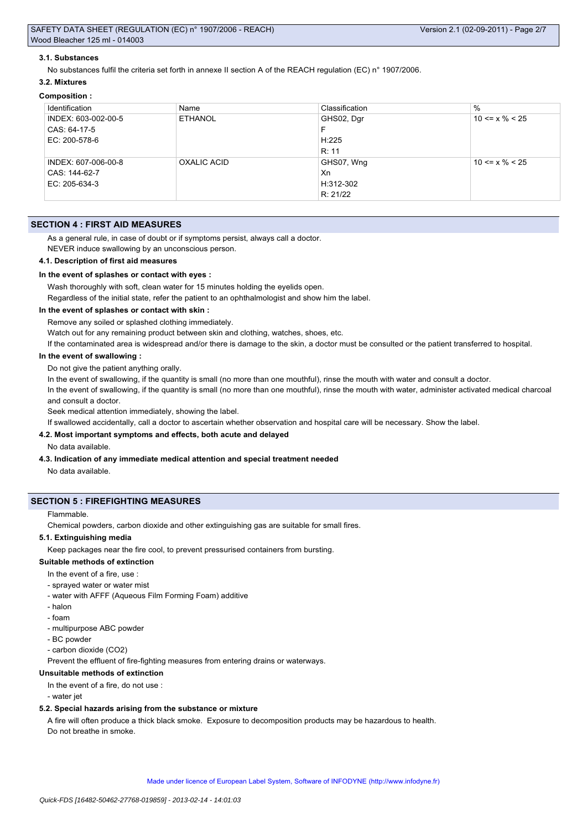# **3.1. Substances**

No substances fulfil the criteria set forth in annexe II section A of the REACH regulation (EC) n° 1907/2006.

#### **3.2. Mixtures**

# **Composition :**

| Identification      | Name           | Classification | $\%$                 |
|---------------------|----------------|----------------|----------------------|
| INDEX: 603-002-00-5 | <b>ETHANOL</b> | GHS02, Dgr     | $10 \le x \% \le 25$ |
| CAS: 64-17-5        |                | F              |                      |
| EC: 200-578-6       |                | H:225          |                      |
|                     |                | R: 11          |                      |
| INDEX: 607-006-00-8 | OXALIC ACID    | GHS07, Wng     | $10 \le x \% \le 25$ |
| CAS: 144-62-7       |                | Xn             |                      |
| EC: 205-634-3       |                | H:312-302      |                      |
|                     |                | R: 21/22       |                      |

# **SECTION 4 : FIRST AID MEASURES**

As a general rule, in case of doubt or if symptoms persist, always call a doctor.

NEVER induce swallowing by an unconscious person.

#### **4.1. Description of first aid measures**

# **In the event of splashes or contact with eyes :**

Wash thoroughly with soft, clean water for 15 minutes holding the eyelids open.

Regardless of the initial state, refer the patient to an ophthalmologist and show him the label.

# **In the event of splashes or contact with skin :**

Remove any soiled or splashed clothing immediately.

Watch out for any remaining product between skin and clothing, watches, shoes, etc.

If the contaminated area is widespread and/or there is damage to the skin, a doctor must be consulted or the patient transferred to hospital.

# **In the event of swallowing :**

Do not give the patient anything orally.

In the event of swallowing, if the quantity is small (no more than one mouthful), rinse the mouth with water and consult a doctor. In the event of swallowing, if the quantity is small (no more than one mouthful), rinse the mouth with water, administer activated medical charcoal

and consult a doctor.

Seek medical attention immediately, showing the label.

If swallowed accidentally, call a doctor to ascertain whether observation and hospital care will be necessary. Show the label.

# **4.2. Most important symptoms and effects, both acute and delayed**

No data available.

#### **4.3. Indication of any immediate medical attention and special treatment needed**

No data available.

# **SECTION 5 : FIREFIGHTING MEASURES**

#### Flammable.

Chemical powders, carbon dioxide and other extinguishing gas are suitable for small fires.

#### **5.1. Extinguishing media**

Keep packages near the fire cool, to prevent pressurised containers from bursting.

# **Suitable methods of extinction**

- In the event of a fire, use :
- sprayed water or water mist
- water with AFFF (Aqueous Film Forming Foam) additive
- halon
- foam
- multipurpose ABC powder
- BC powder
- carbon dioxide (CO2)

Prevent the effluent of fire-fighting measures from entering drains or waterways.

# **Unsuitable methods of extinction**

In the event of a fire, do not use :

- water jet

#### **5.2. Special hazards arising from the substance or mixture**

A fire will often produce a thick black smoke. Exposure to decomposition products may be hazardous to health. Do not breathe in smoke.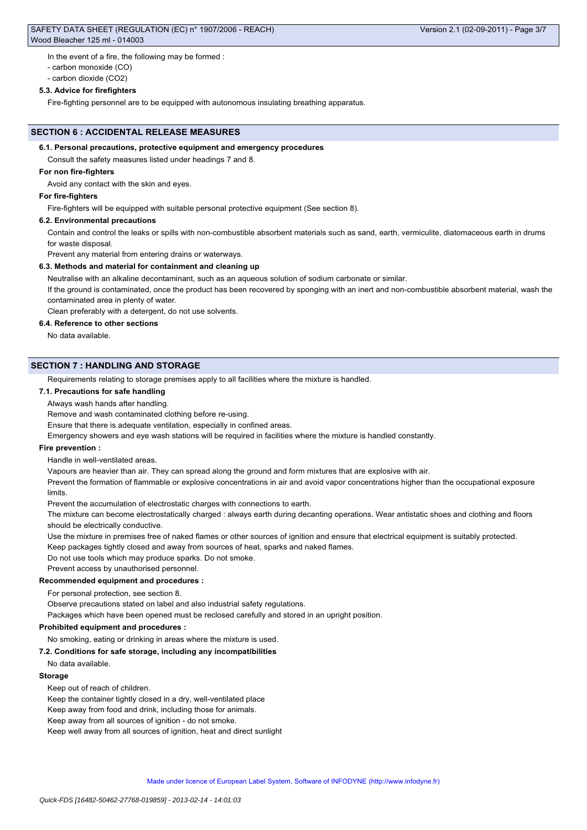# SAFETY DATA SHEET (REGULATION (EC) n° 1907/2006 - REACH) Wood Bleacher 125 ml - 014003

In the event of a fire, the following may be formed :

- carbon monoxide (CO)

- carbon dioxide (CO2)

# **5.3. Advice for firefighters**

Fire-fighting personnel are to be equipped with autonomous insulating breathing apparatus.

# **SECTION 6 : ACCIDENTAL RELEASE MEASURES**

# **6.1. Personal precautions, protective equipment and emergency procedures**

Consult the safety measures listed under headings 7 and 8.

# **For non fire-fighters**

Avoid any contact with the skin and eyes.

# **For fire-fighters**

Fire-fighters will be equipped with suitable personal protective equipment (See section 8).

# **6.2. Environmental precautions**

Contain and control the leaks or spills with non-combustible absorbent materials such as sand, earth, vermiculite, diatomaceous earth in drums for waste disposal.

Prevent any material from entering drains or waterways.

# **6.3. Methods and material for containment and cleaning up**

Neutralise with an alkaline decontaminant, such as an aqueous solution of sodium carbonate or similar.

If the ground is contaminated, once the product has been recovered by sponging with an inert and non-combustible absorbent material, wash the contaminated area in plenty of water.

Clean preferably with a detergent, do not use solvents.

# **6.4. Reference to other sections**

No data available.

# **SECTION 7 : HANDLING AND STORAGE**

Requirements relating to storage premises apply to all facilities where the mixture is handled.

# **7.1. Precautions for safe handling**

Always wash hands after handling.

Remove and wash contaminated clothing before re-using.

Ensure that there is adequate ventilation, especially in confined areas.

Emergency showers and eye wash stations will be required in facilities where the mixture is handled constantly.

# **Fire prevention :**

Handle in well-ventilated areas.

Vapours are heavier than air. They can spread along the ground and form mixtures that are explosive with air.

Prevent the formation of flammable or explosive concentrations in air and avoid vapor concentrations higher than the occupational exposure limits.

Prevent the accumulation of electrostatic charges with connections to earth.

The mixture can become electrostatically charged : always earth during decanting operations. Wear antistatic shoes and clothing and floors should be electrically conductive.

Use the mixture in premises free of naked flames or other sources of ignition and ensure that electrical equipment is suitably protected.

Keep packages tightly closed and away from sources of heat, sparks and naked flames.

Do not use tools which may produce sparks. Do not smoke.

Prevent access by unauthorised personnel.

# **Recommended equipment and procedures :**

For personal protection, see section 8.

Observe precautions stated on label and also industrial safety regulations.

Packages which have been opened must be reclosed carefully and stored in an upright position.

# **Prohibited equipment and procedures :**

No smoking, eating or drinking in areas where the mixture is used.

# **7.2. Conditions for safe storage, including any incompatibilities**

No data available.

# **Storage**

Keep out of reach of children.

Keep the container tightly closed in a dry, well-ventilated place

Keep away from food and drink, including those for animals.

Keep away from all sources of ignition - do not smoke.

Keep well away from all sources of ignition, heat and direct sunlight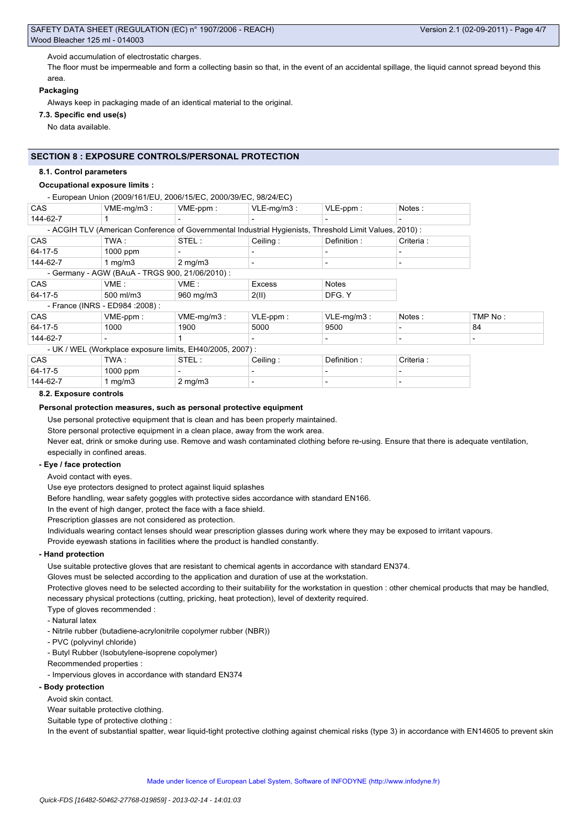# Avoid accumulation of electrostatic charges.

The floor must be impermeable and form a collecting basin so that, in the event of an accidental spillage, the liquid cannot spread beyond this area.

# **Packaging**

Always keep in packaging made of an identical material to the original.

# **7.3. Specific end use(s)**

No data available.

# **SECTION 8 : EXPOSURE CONTROLS/PERSONAL PROTECTION**

#### **8.1. Control parameters**

# **Occupational exposure limits :**

- European Union (2009/161/EU, 2006/15/EC, 2000/39/EC, 98/24/EC) CAS  $\vert$  VME-mg/m3 :  $\vert$  VME-ppm :  $\vert$  VLE-mg/m3 :  $\vert$  VLE-ppm :  $\vert$  Notes :

| 144-62-7   |                                                 |                                                           | $\overline{\phantom{0}}$ |                                                                                                        | $\overline{\phantom{a}}$ |                          |
|------------|-------------------------------------------------|-----------------------------------------------------------|--------------------------|--------------------------------------------------------------------------------------------------------|--------------------------|--------------------------|
|            |                                                 |                                                           |                          | - ACGIH TLV (American Conference of Governmental Industrial Hygienists, Threshold Limit Values, 2010): |                          |                          |
| <b>CAS</b> | TWA :                                           | STEL:                                                     | Ceiling:                 | Definition:                                                                                            | Criteria :               |                          |
| 64-17-5    | $1000$ ppm                                      | $\overline{\phantom{0}}$                                  | $\overline{\phantom{0}}$ | $\overline{\phantom{0}}$                                                                               | $\overline{\phantom{0}}$ |                          |
| 144-62-7   | 1 $mq/m3$                                       | $2 \text{ mg/m}$                                          |                          | $\overline{\phantom{a}}$                                                                               |                          |                          |
|            | - Germany - AGW (BAuA - TRGS 900, 21/06/2010) : |                                                           |                          |                                                                                                        |                          |                          |
| <b>CAS</b> | VME:                                            | VME:                                                      | Excess                   | <b>Notes</b>                                                                                           |                          |                          |
| 64-17-5    | $500$ ml/m3                                     | 960 mg/m3                                                 | 2(II)                    | DFG. Y                                                                                                 |                          |                          |
|            | - France (INRS - ED984 : 2008) :                |                                                           |                          |                                                                                                        |                          |                          |
| CAS        | $VME-ppm$ :                                     | $VME-mq/m3$ :                                             | $VLE-ppm$ :              | $VLE-mq/m3$ :                                                                                          | Notes:                   | TMP No:                  |
| 64-17-5    | 1000                                            | 1900                                                      | 5000                     | 9500                                                                                                   |                          | 84                       |
| 144-62-7   |                                                 |                                                           | $\overline{\phantom{0}}$ | $\overline{\phantom{0}}$                                                                               | $\overline{\phantom{0}}$ | $\overline{\phantom{0}}$ |
|            |                                                 | - UK / WEL (Workplace exposure limits, EH40/2005, 2007) : |                          |                                                                                                        |                          |                          |
| <b>CAS</b> | TWA:                                            | STEL:                                                     | Ceiling:                 | Definition:                                                                                            | Criteria:                |                          |
|            |                                                 |                                                           |                          |                                                                                                        |                          |                          |

| 64-17-5  | 1000 ppm |         |  |  |
|----------|----------|---------|--|--|
| 144-62-7 | ma/m3    | ? ma/m3 |  |  |

#### **8.2. Exposure controls**

# **Personal protection measures, such as personal protective equipment**

Use personal protective equipment that is clean and has been properly maintained.

Store personal protective equipment in a clean place, away from the work area.

Never eat, drink or smoke during use. Remove and wash contaminated clothing before re-using. Ensure that there is adequate ventilation, especially in confined areas.

# **- Eye / face protection**

Avoid contact with eyes.

Use eye protectors designed to protect against liquid splashes

Before handling, wear safety goggles with protective sides accordance with standard EN166.

In the event of high danger, protect the face with a face shield.

Prescription glasses are not considered as protection.

Individuals wearing contact lenses should wear prescription glasses during work where they may be exposed to irritant vapours.

Provide eyewash stations in facilities where the product is handled constantly.

# **- Hand protection**

Use suitable protective gloves that are resistant to chemical agents in accordance with standard EN374.

Gloves must be selected according to the application and duration of use at the workstation.

Protective gloves need to be selected according to their suitability for the workstation in question : other chemical products that may be handled, necessary physical protections (cutting, pricking, heat protection), level of dexterity required.

- Type of gloves recommended :
- Natural latex
- Nitrile rubber (butadiene-acrylonitrile copolymer rubber (NBR))
- PVC (polyvinyl chloride)
- Butyl Rubber (Isobutylene-isoprene copolymer)

# Recommended properties :

- Impervious gloves in accordance with standard EN374

# **- Body protection**

Avoid skin contact.

Wear suitable protective clothing.

Suitable type of protective clothing :

In the event of substantial spatter, wear liquid-tight protective clothing against chemical risks (type 3) in accordance with EN14605 to prevent skin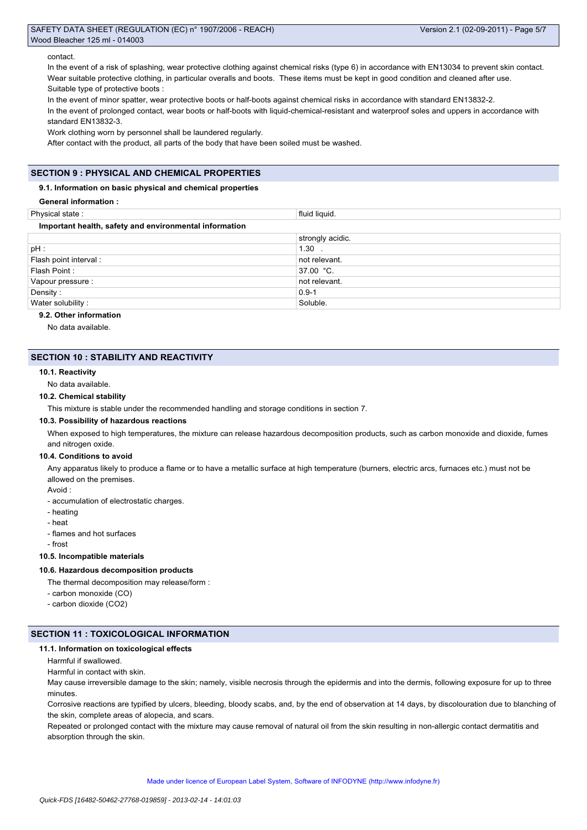#### contact.

In the event of a risk of splashing, wear protective clothing against chemical risks (type 6) in accordance with EN13034 to prevent skin contact. Wear suitable protective clothing, in particular overalls and boots. These items must be kept in good condition and cleaned after use. Suitable type of protective boots :

In the event of minor spatter, wear protective boots or half-boots against chemical risks in accordance with standard EN13832-2. In the event of prolonged contact, wear boots or half-boots with liquid-chemical-resistant and waterproof soles and uppers in accordance with

standard EN13832-3.

Work clothing worn by personnel shall be laundered regularly.

After contact with the product, all parts of the body that have been soiled must be washed.

# **SECTION 9 : PHYSICAL AND CHEMICAL PROPERTIES**

# **9.1. Information on basic physical and chemical properties**

**General information :**

| Physical state:                                        | fluid liquid.    |  |  |  |  |
|--------------------------------------------------------|------------------|--|--|--|--|
| Important health, safety and environmental information |                  |  |  |  |  |
|                                                        | strongly acidic. |  |  |  |  |
| pH :                                                   | $1.30$ .         |  |  |  |  |
| Flash point interval :                                 | not relevant.    |  |  |  |  |
| Flash Point:                                           | 37.00 °C.        |  |  |  |  |
| Vapour pressure :                                      | not relevant.    |  |  |  |  |
| Density:                                               | $0.9 - 1$        |  |  |  |  |
| Water solubility:                                      | Soluble.         |  |  |  |  |

### **9.2. Other information**

No data available.

# **SECTION 10 : STABILITY AND REACTIVITY**

#### **10.1. Reactivity**

No data available.

#### **10.2. Chemical stability**

This mixture is stable under the recommended handling and storage conditions in section 7.

# **10.3. Possibility of hazardous reactions**

When exposed to high temperatures, the mixture can release hazardous decomposition products, such as carbon monoxide and dioxide, fumes and nitrogen oxide.

#### **10.4. Conditions to avoid**

Any apparatus likely to produce a flame or to have a metallic surface at high temperature (burners, electric arcs, furnaces etc.) must not be allowed on the premises.

# Avoid :

- accumulation of electrostatic charges.
- heating
- heat
- flames and hot surfaces
- frost

# **10.5. Incompatible materials**

# **10.6. Hazardous decomposition products**

The thermal decomposition may release/form :

- carbon monoxide (CO)
- carbon dioxide (CO2)

# **SECTION 11 : TOXICOLOGICAL INFORMATION**

#### **11.1. Information on toxicological effects**

Harmful if swallowed.

Harmful in contact with skin.

May cause irreversible damage to the skin; namely, visible necrosis through the epidermis and into the dermis, following exposure for up to three minutes.

Corrosive reactions are typified by ulcers, bleeding, bloody scabs, and, by the end of observation at 14 days, by discolouration due to blanching of the skin, complete areas of alopecia, and scars.

Repeated or prolonged contact with the mixture may cause removal of natural oil from the skin resulting in non-allergic contact dermatitis and absorption through the skin.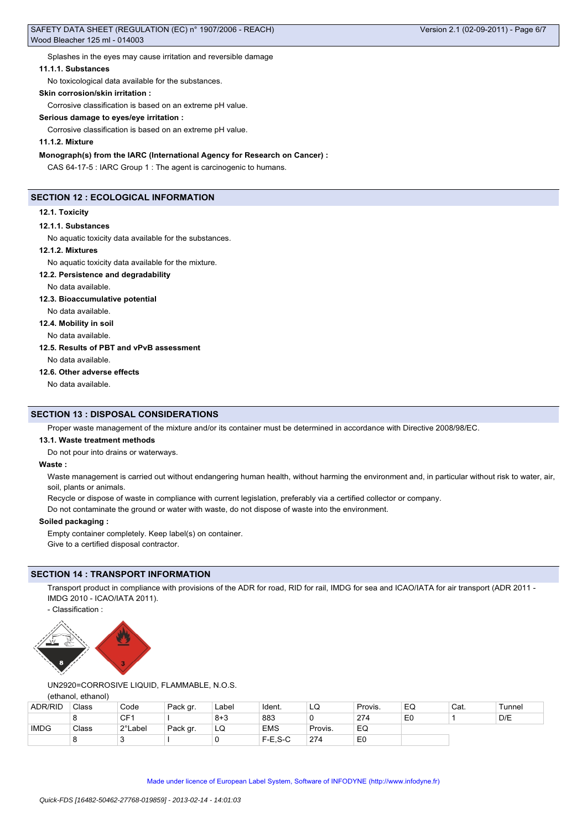Splashes in the eyes may cause irritation and reversible damage

### **11.1.1. Substances**

No toxicological data available for the substances.

#### **Skin corrosion/skin irritation :**

Corrosive classification is based on an extreme pH value.

#### **Serious damage to eyes/eye irritation :**

Corrosive classification is based on an extreme pH value.

# **11.1.2. Mixture**

**Monograph(s) from the IARC (International Agency for Research on Cancer) :**

CAS 64-17-5 : IARC Group 1 : The agent is carcinogenic to humans.

# **SECTION 12 : ECOLOGICAL INFORMATION**

#### **12.1. Toxicity**

#### **12.1.1. Substances**

No aquatic toxicity data available for the substances.

# **12.1.2. Mixtures**

No aquatic toxicity data available for the mixture.

**12.2. Persistence and degradability**

No data available.

# **12.3. Bioaccumulative potential**

No data available.

# **12.4. Mobility in soil**

No data available.

#### **12.5. Results of PBT and vPvB assessment**

No data available.

# **12.6. Other adverse effects**

No data available.

# **SECTION 13 : DISPOSAL CONSIDERATIONS**

Proper waste management of the mixture and/or its container must be determined in accordance with Directive 2008/98/EC.

#### **13.1. Waste treatment methods**

Do not pour into drains or waterways.

#### **Waste :**

Waste management is carried out without endangering human health, without harming the environment and, in particular without risk to water, air, soil, plants or animals.

Recycle or dispose of waste in compliance with current legislation, preferably via a certified collector or company.

Do not contaminate the ground or water with waste, do not dispose of waste into the environment.

# **Soiled packaging :**

Empty container completely. Keep label(s) on container. Give to a certified disposal contractor.

# **SECTION 14 : TRANSPORT INFORMATION**

Transport product in compliance with provisions of the ADR for road, RID for rail, IMDG for sea and ICAO/IATA for air transport (ADR 2011 -IMDG 2010 - ICAO/IATA 2011).

- Classification :



# UN2920=CORROSIVE LIQUID, FLAMMABLE, N.O.S.

(ethanol, ethanol)

| <b>ADR/RID</b> | Class | Code    | Pack gr. | Label   | Ident.     | ΈQ      | Provis.        | EQ             | Cat. | Tunnel |
|----------------|-------|---------|----------|---------|------------|---------|----------------|----------------|------|--------|
|                |       | CF1     |          | $8 + 3$ | 883        |         | 274            | E <sub>0</sub> |      | D/E    |
| <b>IMDG</b>    | Class | 2°Label | Pack gr. | LQ      | <b>EMS</b> | Provis. | EQ             |                |      |        |
|                |       |         |          |         | $F-E.S-C$  | 274     | E <sub>0</sub> |                |      |        |